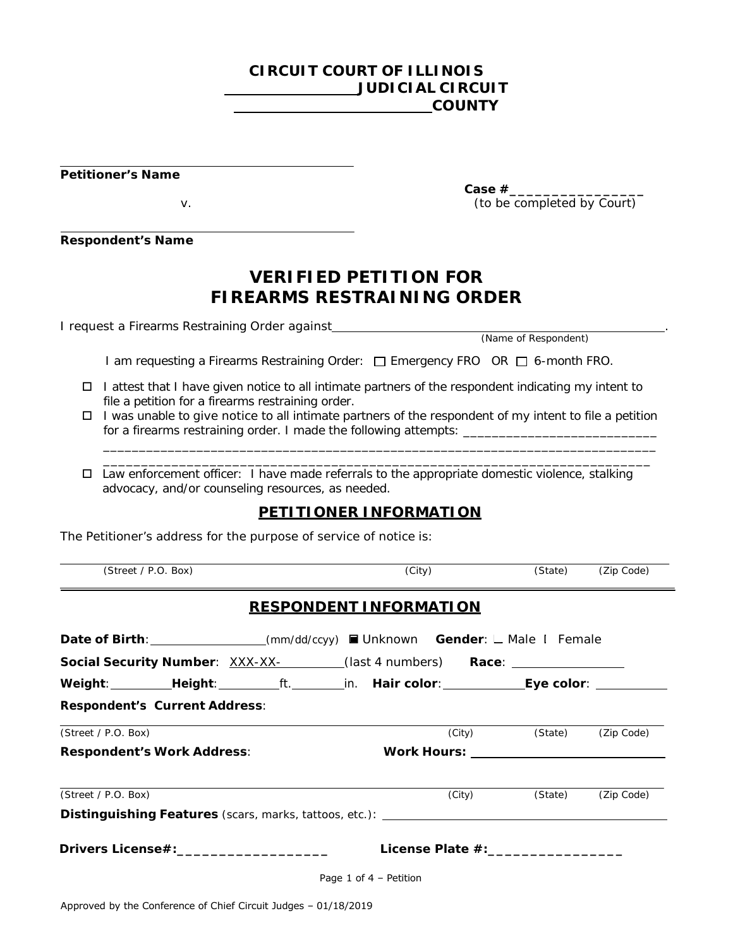## **CIRCUIT COURT OF ILLINOIS JUDICIAL CIRCUIT COUNTY**

**Petitioner's Name**

**Respondent's Name**

# **VERIFIED PETITION FOR FIREARMS RESTRAINING ORDER**

I request a Firearms Restraining Order against<br>(Name of Respondent)

I am requesting a Firearms Restraining Order: □ Emergency FRO *OR* □ 6-month FRO.

- $\Box$  I attest that I have given notice to all intimate partners of the respondent indicating my intent to file a petition for a firearms restraining order.
- $\Box$  I was unable to give notice to all intimate partners of the respondent of my intent to file a petition for a firearms restraining order. I made the following attempts: \_\_\_\_\_\_\_\_\_\_\_\_\_\_\_\_\_\_\_\_\_\_\_\_\_\_\_

\_\_\_\_\_\_\_\_\_\_\_\_\_\_\_\_\_\_\_\_\_\_\_\_\_\_\_\_\_\_\_\_\_\_\_\_\_\_\_\_\_\_\_\_\_\_\_\_\_\_\_\_\_\_\_\_\_\_\_\_\_\_\_\_\_\_\_\_\_\_\_\_\_\_\_\_\_ \_\_\_\_\_\_\_\_\_\_\_\_\_\_\_\_\_\_\_\_\_\_\_\_\_\_\_\_\_\_\_\_\_\_\_\_\_\_\_\_\_\_\_\_\_\_\_\_\_\_\_\_\_\_\_\_\_\_\_\_\_\_\_\_\_\_\_\_\_\_\_\_

 $\Box$  Law enforcement officer: I have made referrals to the appropriate domestic violence, stalking advocacy, and/or counseling resources, as needed.

## **PETITIONER INFORMATION**

The Petitioner's address for the purpose of service of notice is:

| (Street / P.O. Box)                                                                            | (City)                             | (State) | (Zip Code) |
|------------------------------------------------------------------------------------------------|------------------------------------|---------|------------|
|                                                                                                | <b>RESPONDENT INFORMATION</b>      |         |            |
| <b>Date of Birth:</b> _______________(mm/dd/ccyy) ■ Unknown Gender: L Male L Female            |                                    |         |            |
| <b>Social Security Number</b> : XXX-XX- _______(last 4 numbers) <b>Race</b> : ________________ |                                    |         |            |
| Weight:_________Height:_________ft._______in. Hair color:_____________Eye color: ___________   |                                    |         |            |
| <b>Respondent's Current Address:</b>                                                           |                                    |         |            |
| (Street / P.O. Box)                                                                            | (City)                             | (State) | (Zip Code) |
| <b>Respondent's Work Address:</b>                                                              |                                    |         |            |
| (Street / P.O. Box)                                                                            | (City)                             | (State) | (Zip Code) |
| Distinguishing Features (scars, marks, tattoos, etc.): __________________________              |                                    |         |            |
| Drivers License#:_____________________                                                         | License Plate #:__________________ |         |            |
|                                                                                                | Page 1 of $4$ – Petition           |         |            |

**Case #\_\_\_\_\_\_\_\_\_\_\_\_\_\_\_\_** v. (to be completed by Court)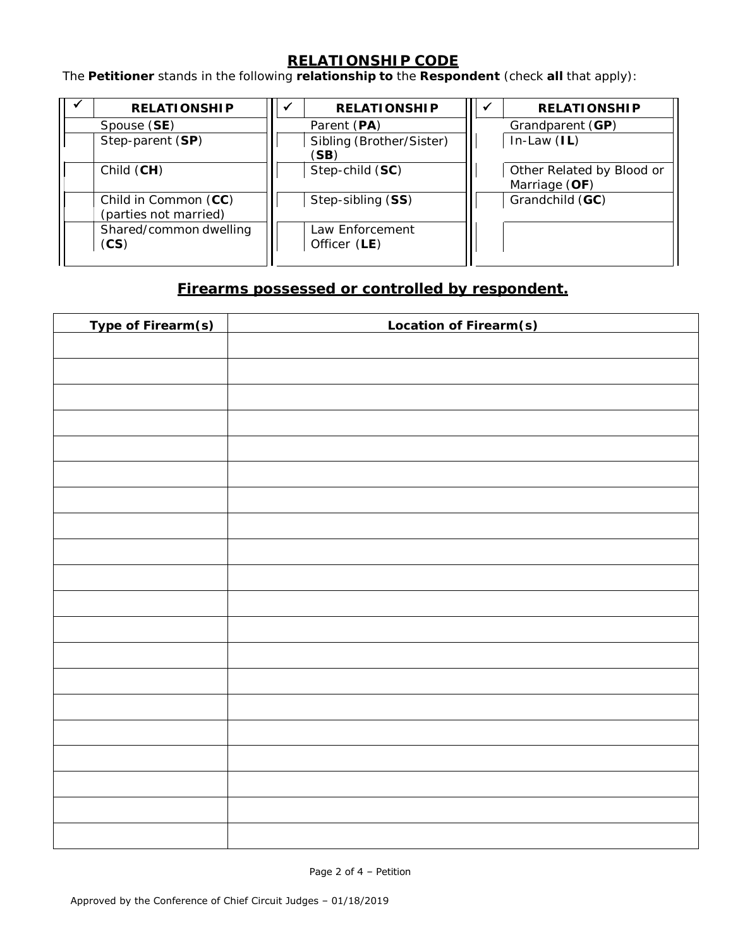## **RELATIONSHIP CODE**

The **Petitioner** stands in the following **relationship to** the **Respondent** (check **all** that apply):

| <b>RELATIONSHIP</b>                           | √ | <b>RELATIONSHIP</b>              | w | <b>RELATIONSHIP</b>                        |
|-----------------------------------------------|---|----------------------------------|---|--------------------------------------------|
| Spouse (SE)                                   |   | Parent (PA)                      |   | Grandparent (GP)                           |
| Step-parent (SP)                              |   | Sibling (Brother/Sister)<br>(SB) |   | $In-Law (IL)$                              |
| Child (CH)                                    |   | Step-child (SC)                  |   | Other Related by Blood or<br>Marriage (OF) |
| Child in Common (CC)<br>(parties not married) |   | Step-sibling (SS)                |   | Grandchild (GC)                            |
| Shared/common dwelling<br>(CS)                |   | Law Enforcement<br>Officer (LE)  |   |                                            |

## **Firearms possessed or controlled by respondent.**

| Type of Firearm(s) | Location of Firearm(s) |
|--------------------|------------------------|
|                    |                        |
|                    |                        |
|                    |                        |
|                    |                        |
|                    |                        |
|                    |                        |
|                    |                        |
|                    |                        |
|                    |                        |
|                    |                        |
|                    |                        |
|                    |                        |
|                    |                        |
|                    |                        |
|                    |                        |
|                    |                        |
|                    |                        |
|                    |                        |
|                    |                        |
|                    |                        |
|                    |                        |

Page 2 of 4 – Petition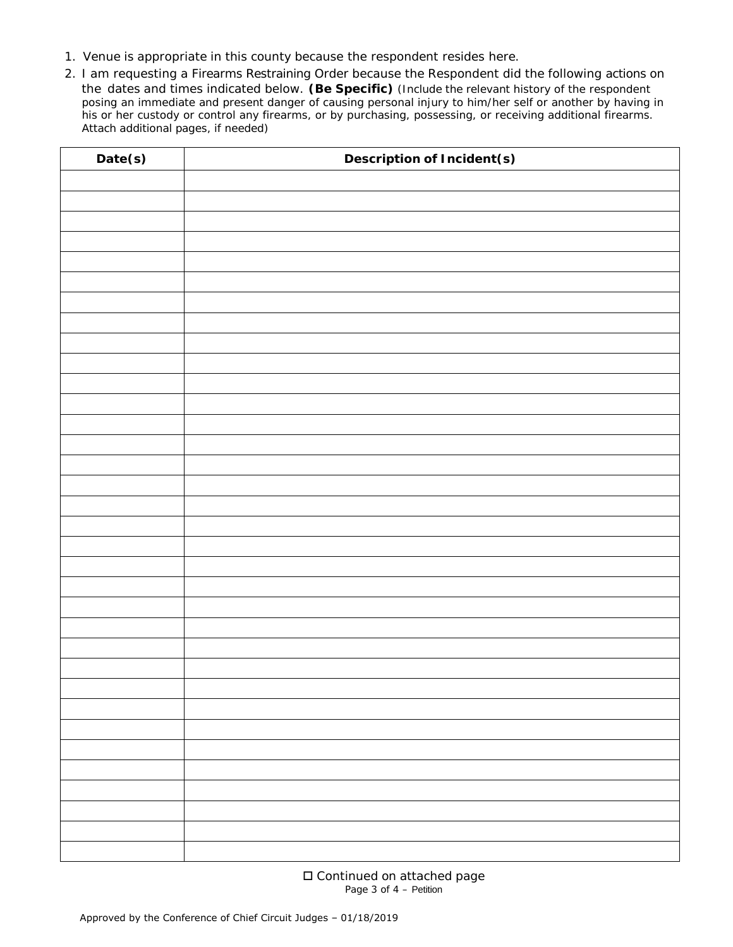- 1. Venue is appropriate in this county because the respondent resides here.
- 2. I am requesting a Firearms Restraining Order because the Respondent did the following actions on the dates and times indicated below. **(Be Specific)** (*Include the relevant history of the respondent posing an immediate and present danger of causing personal injury to him/her self or another by having in his or her custody or control any firearms, or by purchasing, possessing, or receiving additional firearms. Attach additional pages, if needed*)

| Date(s) | <b>Description of Incident(s)</b> |
|---------|-----------------------------------|
|         |                                   |
|         |                                   |
|         |                                   |
|         |                                   |
|         |                                   |
|         |                                   |
|         |                                   |
|         |                                   |
|         |                                   |
|         |                                   |
|         |                                   |
|         |                                   |
|         |                                   |
|         |                                   |
|         |                                   |
|         |                                   |
|         |                                   |
|         |                                   |
|         |                                   |
|         |                                   |
|         |                                   |
|         |                                   |
|         |                                   |
|         |                                   |
|         |                                   |
|         |                                   |
|         |                                   |
|         |                                   |
|         |                                   |
|         |                                   |
|         |                                   |
|         |                                   |
|         |                                   |

□ Continued on attached page Page 3 of 4 – Petition